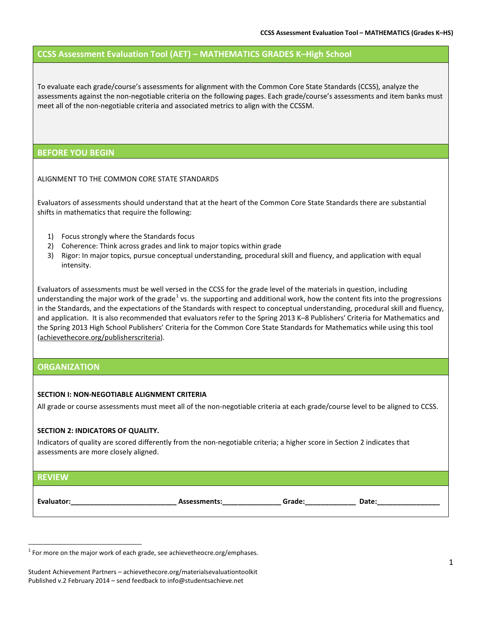# **CCSS Assessment Evaluation Tool (AET) – MATHEMATICS GRADES K–High School**

To evaluate each grade/course's assessments for alignment with the Common Core State Standards (CCSS), analyze the assessments against the non-negotiable criteria on the following pages. Each grade/course's assessments and item banks must meet all of the non-negotiable criteria and associated metrics to align with the CCSSM.

## **BEFORE YOU BEGIN**

ALIGNMENT TO THE COMMON CORE STATE STANDARDS

Evaluators of assessments should understand that at the heart of the Common Core State Standards there are substantial shifts in mathematics that require the following:

- 1) Focus strongly where the Standards focus
- 2) Coherence: Think across grades and link to major topics within grade
- 3) Rigor: In major topics, pursue conceptual understanding, procedural skill and fluency, and application with equal intensity.

Evaluators of assessments must be well versed in the CCSS for the grade level of the materials in question, including understanding the major work of the grade<sup>[1](#page-0-0)</sup> vs. the supporting and additional work, how the content fits into the progressions in the Standards, and the expectations of the Standards with respect to conceptual understanding, procedural skill and fluency, and application. It is also recommended that evaluators refer to the Spring 2013 K–8 Publishers' Criteria for Mathematics and the Spring 2013 High School Publishers' Criteria for the Common Core State Standards for Mathematics while using this tool [\(achievethecore.org/publisherscriteria\)](http://www.achievethecore.org/publisherscriteria).

## **ORGANIZATION**

l

#### **SECTION I: NON-NEGOTIABLE ALIGNMENT CRITERIA**

All grade or course assessments must meet all of the non-negotiable criteria at each grade/course level to be aligned to CCSS.

#### **SECTION 2: INDICATORS OF QUALITY.**

Indicators of quality are scored differently from the non-negotiable criteria; a higher score in Section 2 indicates that assessments are more closely aligned.

| <b>REVIEW</b> |              |        |       |
|---------------|--------------|--------|-------|
| Evaluator:    | Assessments: | Grade: | Date: |

<span id="page-0-0"></span> $1$  For more on the major work of each grade, see achievetheocre.org/emphases.

Student Achievement Partners – achievethecore.org/materialsevaluationtoolkit Published v.2 February 2014 – send feedback to info@studentsachieve.net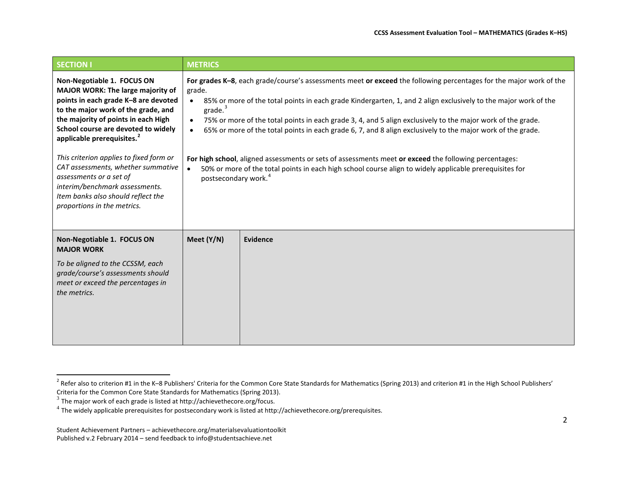<span id="page-1-2"></span><span id="page-1-1"></span><span id="page-1-0"></span>

| <b>SECTION I</b>                                                                                                                                                                                                                                                                                                                                                                                                                                                                          | <b>METRICS</b>                                                                                                                                                                                                                                                                                                                                                                                                                                                                                                                                                                                                                                                                                                                                                            |
|-------------------------------------------------------------------------------------------------------------------------------------------------------------------------------------------------------------------------------------------------------------------------------------------------------------------------------------------------------------------------------------------------------------------------------------------------------------------------------------------|---------------------------------------------------------------------------------------------------------------------------------------------------------------------------------------------------------------------------------------------------------------------------------------------------------------------------------------------------------------------------------------------------------------------------------------------------------------------------------------------------------------------------------------------------------------------------------------------------------------------------------------------------------------------------------------------------------------------------------------------------------------------------|
| Non-Negotiable 1. FOCUS ON<br>MAJOR WORK: The large majority of<br>points in each grade K-8 are devoted<br>to the major work of the grade, and<br>the majority of points in each High<br>School course are devoted to widely<br>applicable prerequisites. <sup>2</sup><br>This criterion applies to fixed form or<br>CAT assessments, whether summative<br>assessments or a set of<br>interim/benchmark assessments.<br>Item banks also should reflect the<br>proportions in the metrics. | For grades K-8, each grade/course's assessments meet or exceed the following percentages for the major work of the<br>grade.<br>85% or more of the total points in each grade Kindergarten, 1, and 2 align exclusively to the major work of the<br>grade. <sup>3</sup><br>75% or more of the total points in each grade 3, 4, and 5 align exclusively to the major work of the grade.<br>65% or more of the total points in each grade 6, 7, and 8 align exclusively to the major work of the grade.<br>For high school, aligned assessments or sets of assessments meet or exceed the following percentages:<br>50% or more of the total points in each high school course align to widely applicable prerequisites for<br>$\bullet$<br>postsecondary work. <sup>4</sup> |
| Non-Negotiable 1. FOCUS ON<br><b>MAJOR WORK</b><br>To be aligned to the CCSSM, each<br>grade/course's assessments should<br>meet or exceed the percentages in<br>the metrics.                                                                                                                                                                                                                                                                                                             | Meet (Y/N)<br><b>Evidence</b>                                                                                                                                                                                                                                                                                                                                                                                                                                                                                                                                                                                                                                                                                                                                             |

l

<sup>&</sup>lt;sup>2</sup> Refer also to criterion #1 in the K–8 Publishers' Criteria for the Common Core State Standards for Mathematics (Spring 2013) and criterion #1 in the High School Publishers' Criteria for the Common Core State Standards for Mathematics (Spring 2013).<br>
<sup>3</sup> The major work of each grade is listed at http://achievethecore.org/focus.

<sup>4</sup> The widely applicable prerequisites for postsecondary work is listed a[t http://achievethecore.org/prerequisites.](http://achievethecore.org/prerequisites)

Student Achievement Partners – achievethecore.org/materialsevaluationtoolkit Published v.2 February 2014 – send feedback to info@studentsachieve.net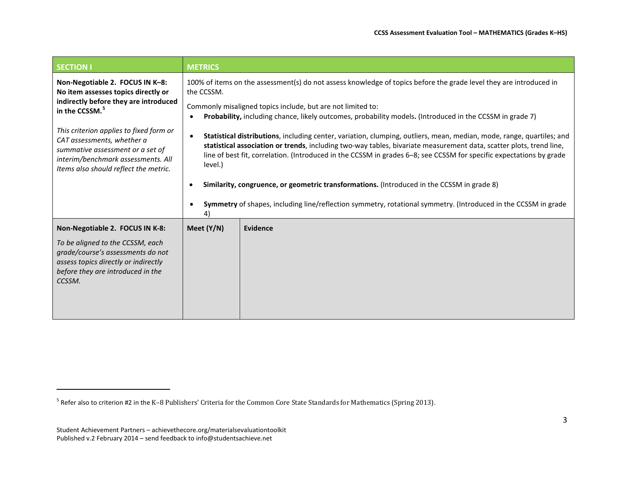<span id="page-2-0"></span>

| <b>SECTION I</b>                                                                                                                                                                         | <b>METRICS</b>                                                                                                                                                                                                                                                                                                                                                                 |  |  |  |  |
|------------------------------------------------------------------------------------------------------------------------------------------------------------------------------------------|--------------------------------------------------------------------------------------------------------------------------------------------------------------------------------------------------------------------------------------------------------------------------------------------------------------------------------------------------------------------------------|--|--|--|--|
| Non-Negotiable 2. FOCUS IN K-8:<br>No item assesses topics directly or<br>indirectly before they are introduced<br>in the CCSSM. <sup>5</sup>                                            | 100% of items on the assessment(s) do not assess knowledge of topics before the grade level they are introduced in<br>the CCSSM.<br>Commonly misaligned topics include, but are not limited to:<br>Probability, including chance, likely outcomes, probability models. (Introduced in the CCSSM in grade 7)                                                                    |  |  |  |  |
| This criterion applies to fixed form or<br>CAT assessments, whether a<br>summative assessment or a set of<br>interim/benchmark assessments. All<br>Items also should reflect the metric. | Statistical distributions, including center, variation, clumping, outliers, mean, median, mode, range, quartiles; and<br>statistical association or trends, including two-way tables, bivariate measurement data, scatter plots, trend line,<br>line of best fit, correlation. (Introduced in the CCSSM in grades 6-8; see CCSSM for specific expectations by grade<br>level.) |  |  |  |  |
|                                                                                                                                                                                          | Similarity, congruence, or geometric transformations. (Introduced in the CCSSM in grade 8)                                                                                                                                                                                                                                                                                     |  |  |  |  |
|                                                                                                                                                                                          | Symmetry of shapes, including line/reflection symmetry, rotational symmetry. (Introduced in the CCSSM in grade                                                                                                                                                                                                                                                                 |  |  |  |  |
| Non-Negotiable 2. FOCUS IN K-8:                                                                                                                                                          | Meet (Y/N)<br><b>Evidence</b>                                                                                                                                                                                                                                                                                                                                                  |  |  |  |  |
| To be aligned to the CCSSM, each<br>grade/course's assessments do not<br>assess topics directly or indirectly<br>before they are introduced in the<br>CCSSM.                             |                                                                                                                                                                                                                                                                                                                                                                                |  |  |  |  |

<sup>5</sup> Refer also to criterion #2 in the K–8 Publishers' Criteria for the Common Core State Standards for Mathematics (Spring 2013).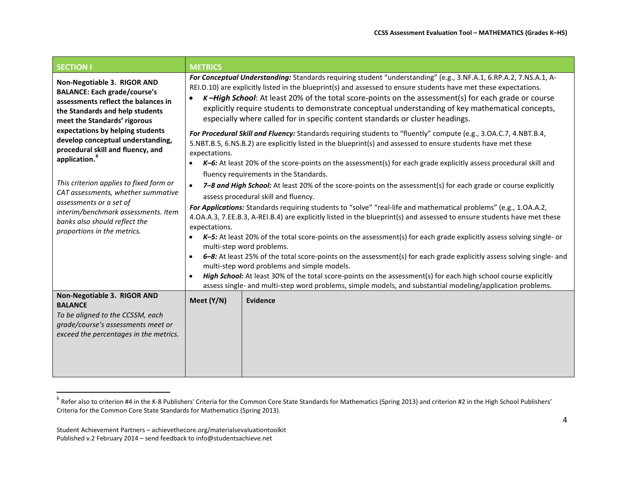<span id="page-3-0"></span>

| <b>SECTION I</b>                                                                                                                                                                                                                                                                                                                                                                                                                                                                                                                           | <b>METRICS</b>                                                                                                                                                                                                                                                                                                                                        |                                                                                                                                                                                                                                                                                                                                                                                                                                                                                                                                                                                                                                                                                                                                                                                                                                                                                                                                                                                                                                                                                                                                                                                                                                                                                                                                                                                                                                                                                                                                                                                                                                  |  |  |  |
|--------------------------------------------------------------------------------------------------------------------------------------------------------------------------------------------------------------------------------------------------------------------------------------------------------------------------------------------------------------------------------------------------------------------------------------------------------------------------------------------------------------------------------------------|-------------------------------------------------------------------------------------------------------------------------------------------------------------------------------------------------------------------------------------------------------------------------------------------------------------------------------------------------------|----------------------------------------------------------------------------------------------------------------------------------------------------------------------------------------------------------------------------------------------------------------------------------------------------------------------------------------------------------------------------------------------------------------------------------------------------------------------------------------------------------------------------------------------------------------------------------------------------------------------------------------------------------------------------------------------------------------------------------------------------------------------------------------------------------------------------------------------------------------------------------------------------------------------------------------------------------------------------------------------------------------------------------------------------------------------------------------------------------------------------------------------------------------------------------------------------------------------------------------------------------------------------------------------------------------------------------------------------------------------------------------------------------------------------------------------------------------------------------------------------------------------------------------------------------------------------------------------------------------------------------|--|--|--|
| Non-Negotiable 3. RIGOR AND<br><b>BALANCE: Each grade/course's</b><br>assessments reflect the balances in<br>the Standards and help students<br>meet the Standards' rigorous<br>expectations by helping students<br>develop conceptual understanding,<br>procedural skill and fluency, and<br>application. <sup>6</sup><br>This criterion applies to fixed form or<br>CAT assessments, whether summative<br>assessments or a set of<br>interim/benchmark assessments. Item<br>banks also should reflect the<br>proportions in the metrics. | expectations.<br>$\bullet$<br>expectations.<br>$\bullet$<br>multi-step word problems and simple models.<br>High School: At least 30% of the total score-points on the assessment(s) for each high school course explicitly<br>$\bullet$<br>assess single- and multi-step word problems, simple models, and substantial modeling/application problems. | For Conceptual Understanding: Standards requiring student "understanding" (e.g., 3.NF.A.1, 6.RP.A.2, 7.NS.A.1, A-<br>REI.D.10) are explicitly listed in the blueprint(s) and assessed to ensure students have met these expectations.<br>K-High School: At least 20% of the total score-points on the assessment(s) for each grade or course<br>explicitly require students to demonstrate conceptual understanding of key mathematical concepts,<br>especially where called for in specific content standards or cluster headings.<br>For Procedural Skill and Fluency: Standards requiring students to "fluently" compute (e.g., 3.OA.C.7, 4.NBT.B.4,<br>5.NBT.B.5, 6.NS.B.2) are explicitly listed in the blueprint(s) and assessed to ensure students have met these<br>$K$ –6: At least 20% of the score-points on the assessment(s) for each grade explicitly assess procedural skill and<br>fluency requirements in the Standards.<br>7-8 and High School: At least 20% of the score-points on the assessment(s) for each grade or course explicitly<br>assess procedural skill and fluency.<br>For Applications: Standards requiring students to "solve" "real-life and mathematical problems" (e.g., 1.OA.A.2,<br>4.OA.A.3, 7.EE.B.3, A-REI.B.4) are explicitly listed in the blueprint(s) and assessed to ensure students have met these<br>K-5: At least 20% of the total score-points on the assessment(s) for each grade explicitly assess solving single- or<br>multi-step word problems.<br>6-8: At least 25% of the total score-points on the assessment(s) for each grade explicitly assess solving single- and |  |  |  |
| Non-Negotiable 3. RIGOR AND<br><b>BALANCE</b><br>To be aligned to the CCSSM, each<br>grade/course's assessments meet or<br>exceed the percentages in the metrics.                                                                                                                                                                                                                                                                                                                                                                          | Meet (Y/N)                                                                                                                                                                                                                                                                                                                                            | Evidence                                                                                                                                                                                                                                                                                                                                                                                                                                                                                                                                                                                                                                                                                                                                                                                                                                                                                                                                                                                                                                                                                                                                                                                                                                                                                                                                                                                                                                                                                                                                                                                                                         |  |  |  |

 $^6$  Refer also to criterion #4 in the K-8 Publishers' Criteria for the Common Core State Standards for Mathematics (Spring 2013) and criterion #2 in the High School Publishers' Criteria for the Common Core State Standards for Mathematics (Spring 2013).

Student Achievement Partners – achievethecore.org/materialsevaluationtoolkit Published v.2 February 2014 – send feedback to info@studentsachieve.net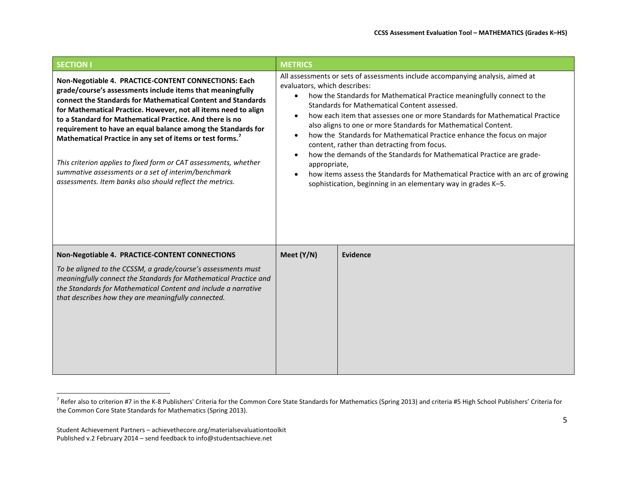<span id="page-4-0"></span>

| <b>SECTION I</b>                                                                                                                                                                                                                                                                                                                                                                                                                                                                                                                                                                                                                     | <b>METRICS</b>                                                                                                                                                                                                                                                                                                                                                                                                                                                                                                                                                                                                                                                                                                                                                   |          |  |  |
|--------------------------------------------------------------------------------------------------------------------------------------------------------------------------------------------------------------------------------------------------------------------------------------------------------------------------------------------------------------------------------------------------------------------------------------------------------------------------------------------------------------------------------------------------------------------------------------------------------------------------------------|------------------------------------------------------------------------------------------------------------------------------------------------------------------------------------------------------------------------------------------------------------------------------------------------------------------------------------------------------------------------------------------------------------------------------------------------------------------------------------------------------------------------------------------------------------------------------------------------------------------------------------------------------------------------------------------------------------------------------------------------------------------|----------|--|--|
| Non-Negotiable 4. PRACTICE-CONTENT CONNECTIONS: Each<br>grade/course's assessments include items that meaningfully<br>connect the Standards for Mathematical Content and Standards<br>for Mathematical Practice. However, not all items need to align<br>to a Standard for Mathematical Practice. And there is no<br>requirement to have an equal balance among the Standards for<br>Mathematical Practice in any set of items or test forms.<br>This criterion applies to fixed form or CAT assessments, whether<br>summative assessments or a set of interim/benchmark<br>assessments. Item banks also should reflect the metrics. | All assessments or sets of assessments include accompanying analysis, aimed at<br>evaluators, which describes:<br>how the Standards for Mathematical Practice meaningfully connect to the<br>Standards for Mathematical Content assessed.<br>how each item that assesses one or more Standards for Mathematical Practice<br>also aligns to one or more Standards for Mathematical Content.<br>how the Standards for Mathematical Practice enhance the focus on major<br>content, rather than detracting from focus.<br>how the demands of the Standards for Mathematical Practice are grade-<br>appropriate,<br>how items assess the Standards for Mathematical Practice with an arc of growing<br>sophistication, beginning in an elementary way in grades K-5. |          |  |  |
| Non-Negotiable 4. PRACTICE-CONTENT CONNECTIONS<br>To be aligned to the CCSSM, a grade/course's assessments must<br>meaningfully connect the Standards for Mathematical Practice and<br>the Standards for Mathematical Content and include a narrative<br>that describes how they are meaningfully connected.                                                                                                                                                                                                                                                                                                                         | Meet (Y/N)                                                                                                                                                                                                                                                                                                                                                                                                                                                                                                                                                                                                                                                                                                                                                       | Evidence |  |  |

<sup>&</sup>lt;sup>7</sup> Refer also to criterion #7 in the K-8 Publishers' Criteria for the Common Core State Standards for Mathematics (Spring 2013) and criteria #5 High School Publishers' Criteria for the Common Core State Standards for Mathematics (Spring 2013).

Student Achievement Partners – achievethecore.org/materialsevaluationtoolkit Published v.2 February 2014 – send feedback to info@studentsachieve.net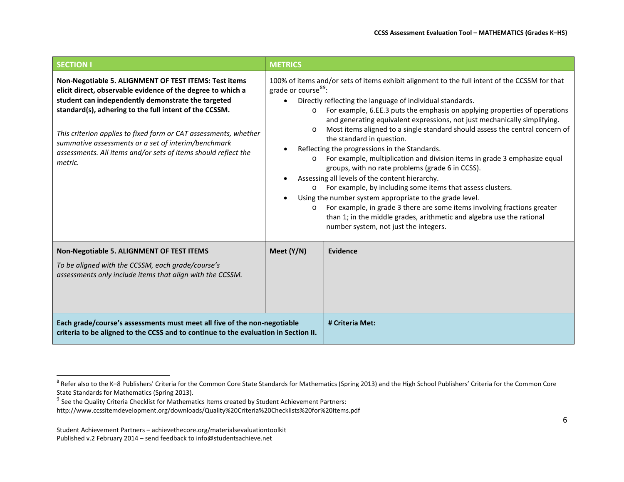<span id="page-5-1"></span><span id="page-5-0"></span>

| <b>SECTION I</b>                                                                                                                                                                                                                                                                                                                                                                                                                             | <b>METRICS</b>                                                                                       |                                                                                                                                                                                                                                                                                                                                                                                                                                                                                                                                                                                                                                                                                                                                                                                                                                                                                                                                                                                               |
|----------------------------------------------------------------------------------------------------------------------------------------------------------------------------------------------------------------------------------------------------------------------------------------------------------------------------------------------------------------------------------------------------------------------------------------------|------------------------------------------------------------------------------------------------------|-----------------------------------------------------------------------------------------------------------------------------------------------------------------------------------------------------------------------------------------------------------------------------------------------------------------------------------------------------------------------------------------------------------------------------------------------------------------------------------------------------------------------------------------------------------------------------------------------------------------------------------------------------------------------------------------------------------------------------------------------------------------------------------------------------------------------------------------------------------------------------------------------------------------------------------------------------------------------------------------------|
| Non-Negotiable 5. ALIGNMENT OF TEST ITEMS: Test items<br>elicit direct, observable evidence of the degree to which a<br>student can independently demonstrate the targeted<br>standard(s), adhering to the full intent of the CCSSM.<br>This criterion applies to fixed form or CAT assessments, whether<br>summative assessments or a set of interim/benchmark<br>assessments. All items and/or sets of items should reflect the<br>metric. | grade or course <sup>89</sup> :<br>$\bullet$<br>$\circ$<br>$\Omega$<br>$\circ$<br>$\circ$<br>$\circ$ | 100% of items and/or sets of items exhibit alignment to the full intent of the CCSSM for that<br>Directly reflecting the language of individual standards.<br>For example, 6.EE.3 puts the emphasis on applying properties of operations<br>and generating equivalent expressions, not just mechanically simplifying.<br>Most items aligned to a single standard should assess the central concern of<br>the standard in question.<br>Reflecting the progressions in the Standards.<br>For example, multiplication and division items in grade 3 emphasize equal<br>groups, with no rate problems (grade 6 in CCSS).<br>Assessing all levels of the content hierarchy.<br>For example, by including some items that assess clusters.<br>Using the number system appropriate to the grade level.<br>For example, in grade 3 there are some items involving fractions greater<br>than 1; in the middle grades, arithmetic and algebra use the rational<br>number system, not just the integers. |
| Non-Negotiable 5. ALIGNMENT OF TEST ITEMS                                                                                                                                                                                                                                                                                                                                                                                                    | Meet (Y/N)                                                                                           | Evidence                                                                                                                                                                                                                                                                                                                                                                                                                                                                                                                                                                                                                                                                                                                                                                                                                                                                                                                                                                                      |
| To be aligned with the CCSSM, each grade/course's<br>assessments only include items that align with the CCSSM.                                                                                                                                                                                                                                                                                                                               |                                                                                                      |                                                                                                                                                                                                                                                                                                                                                                                                                                                                                                                                                                                                                                                                                                                                                                                                                                                                                                                                                                                               |
| Each grade/course's assessments must meet all five of the non-negotiable<br>criteria to be aligned to the CCSS and to continue to the evaluation in Section II.                                                                                                                                                                                                                                                                              |                                                                                                      | # Criteria Met:                                                                                                                                                                                                                                                                                                                                                                                                                                                                                                                                                                                                                                                                                                                                                                                                                                                                                                                                                                               |

 $^8$  Refer also to the K–8 Publishers' Criteria for the Common Core State Standards for Mathematics (Spring 2013) and the High School Publishers' Criteria for the Common Core State Standards for Mathematics (Spring 2013).

<sup>&</sup>lt;sup>9</sup> See the Quality Criteria Checklist for Mathematics Items created by Student Achievement Partners:

<http://www.ccssitemdevelopment.org/downloads/Quality%20Criteria%20Checklists%20for%20Items.pdf>

Student Achievement Partners – achievethecore.org/materialsevaluationtoolkit Published v.2 February 2014 – send feedback to info@studentsachieve.net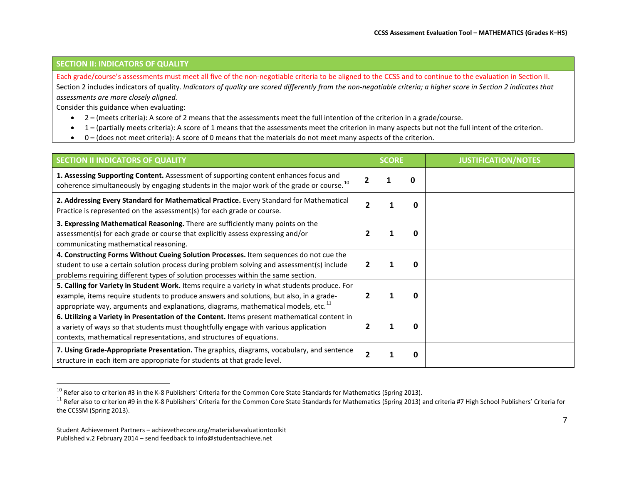## <span id="page-6-1"></span><span id="page-6-0"></span>**SECTION II: INDICATORS OF QUALITY**

Each grade/course's assessments must meet all five of the non-negotiable criteria to be aligned to the CCSS and to continue to the evaluation in Section II. Section 2 includes indicators of quality. *Indicators of quality are scored differently from the non-negotiable criteria; a higher score in Section 2 indicates that assessments are more closely aligned.*

Consider this guidance when evaluating:

- 2 **–** (meets criteria): A score of 2 means that the assessments meet the full intention of the criterion in a grade/course.
- 1 **–** (partially meets criteria): A score of 1 means that the assessments meet the criterion in many aspects but not the full intent of the criterion.
- 0 **–** (does not meet criteria): A score of 0 means that the materials do not meet many aspects of the criterion.

| <b>SECTION II INDICATORS OF QUALITY</b>                                                                                                                                                                                                                                                    | <b>SCORE</b> |  |              | <b>JUSTIFICATION/NOTES</b> |
|--------------------------------------------------------------------------------------------------------------------------------------------------------------------------------------------------------------------------------------------------------------------------------------------|--------------|--|--------------|----------------------------|
| 1. Assessing Supporting Content. Assessment of supporting content enhances focus and<br>coherence simultaneously by engaging students in the major work of the grade or course. <sup>10</sup>                                                                                              | 0            |  |              |                            |
| 2. Addressing Every Standard for Mathematical Practice. Every Standard for Mathematical<br>Practice is represented on the assessment(s) for each grade or course.                                                                                                                          | 0            |  |              |                            |
| 3. Expressing Mathematical Reasoning. There are sufficiently many points on the<br>assessment(s) for each grade or course that explicitly assess expressing and/or<br>communicating mathematical reasoning.                                                                                |              |  | n            |                            |
| 4. Constructing Forms Without Cueing Solution Processes. Item sequences do not cue the<br>student to use a certain solution process during problem solving and assessment(s) include<br>problems requiring different types of solution processes within the same section.                  |              |  | 0            |                            |
| 5. Calling for Variety in Student Work. Items require a variety in what students produce. For<br>example, items require students to produce answers and solutions, but also, in a grade-<br>appropriate way, arguments and explanations, diagrams, mathematical models, etc. <sup>11</sup> |              |  | n            |                            |
| 6. Utilizing a Variety in Presentation of the Content. Items present mathematical content in<br>a variety of ways so that students must thoughtfully engage with various application<br>contexts, mathematical representations, and structures of equations.                               |              |  | n            |                            |
| 7. Using Grade-Appropriate Presentation. The graphics, diagrams, vocabulary, and sentence<br>structure in each item are appropriate for students at that grade level.                                                                                                                      |              |  | <sup>0</sup> |                            |

 $^{10}$  Refer also to criterion #3 in the K-8 Publishers' Criteria for the Common Core State Standards for Mathematics (Spring 2013).

<sup>&</sup>lt;sup>11</sup> Refer also to criterion #9 in the K-8 Publishers' Criteria for the Common Core State Standards for Mathematics (Spring 2013) and criteria #7 High School Publishers' Criteria for the CCSSM (Spring 2013).